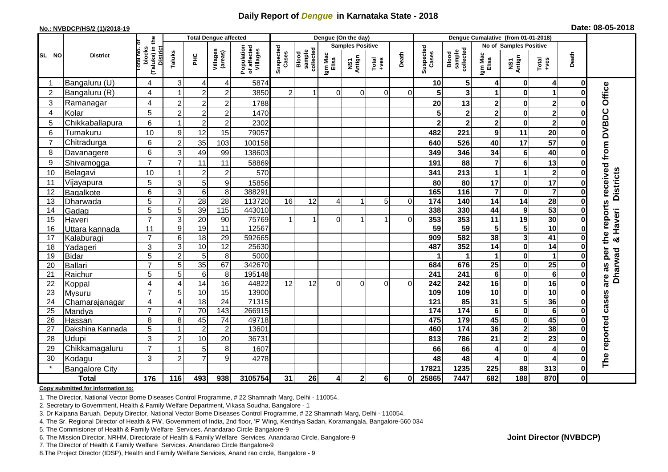## **Daily Report of** *Dengue* **in Karnataka State - 2018**

#### **No.: NVBDCP/HS/2 (1)/2018-19**

|  | Date: 08-05-2018 |  |
|--|------------------|--|
|--|------------------|--|

|                 |                       |                                                              |                |                 | <b>Total Dengue affected</b> |                                       | Dengue (On the day)     |                              |                  |               |                                                              |          |                         | Dengue Cumalative (from 01-01-2018) |                         |                         |                         |              |                     |  |
|-----------------|-----------------------|--------------------------------------------------------------|----------------|-----------------|------------------------------|---------------------------------------|-------------------------|------------------------------|------------------|---------------|--------------------------------------------------------------|----------|-------------------------|-------------------------------------|-------------------------|-------------------------|-------------------------|--------------|---------------------|--|
|                 |                       |                                                              |                |                 |                              |                                       | <b>Samples Positive</b> |                              |                  |               |                                                              |          |                         |                                     | No of Samples Positive  |                         |                         |              |                     |  |
| SL NO           | <b>District</b>       | (Taluks) in the<br>Total No. of<br>blocks<br><b>District</b> | Taluks         | <b>PHC</b>      | Villages<br>(areas)          | Population<br>of affected<br>Villages | Suspected<br>Cases      | collected<br>sample<br>Blood | Igm Mac<br>Elisa | NS1<br>Antign | $\begin{array}{c}\n\text{Total} \\ \text{Area}\n\end{array}$ | Death    | Suspected<br>Cases      | sample<br>collected<br>Blood        | Igm Mac<br>Elisa        | NS1<br>Antign           | Total<br>+ves           | Death        |                     |  |
|                 | Bangaluru (U)         | 4                                                            | 3              | 4               | 4                            | 5874                                  |                         |                              |                  |               |                                                              |          | 10                      | $\sqrt{5}$                          | 4                       | 0                       | 4                       | 0            |                     |  |
| $\overline{2}$  | Bangaluru (R)         | 4                                                            |                | $\overline{2}$  | $\overline{2}$               | 3850                                  | $\overline{2}$          | 1                            | $\Omega$         | $\Omega$      | $\Omega$                                                     | 0        | 5 <sup>1</sup>          | $\overline{\mathbf{3}}$             | 1                       | $\mathbf 0$             | 1                       |              |                     |  |
| 3               | Ramanagar             | 4                                                            | $\overline{2}$ | $\overline{2}$  | $\overline{2}$               | 1788                                  |                         |                              |                  |               |                                                              |          | 20                      | 13                                  | $\mathbf 2$             | $\bf{0}$                | $\mathbf 2$             |              | Office              |  |
| $\overline{4}$  | Kolar                 | 5                                                            | $\overline{2}$ | $\overline{2}$  | $\overline{2}$               | 1470                                  |                         |                              |                  |               |                                                              |          | 5                       | $\mathbf 2$                         | $\overline{\mathbf{c}}$ | $\pmb{0}$               | $\mathbf 2$             |              |                     |  |
| 5               | Chikkaballapura       | 6                                                            |                | $\overline{2}$  | $\overline{c}$               | 2302                                  |                         |                              |                  |               |                                                              |          | $\overline{\mathbf{2}}$ | $\overline{\mathbf{2}}$             | $\overline{2}$          | $\mathbf 0$             | $\overline{\mathbf{2}}$ |              |                     |  |
| 6               | Tumakuru              | 10                                                           | 9              | 12              | 15                           | 79057                                 |                         |                              |                  |               |                                                              |          | 482                     | 221                                 | $\boldsymbol{9}$        | 11                      | 20                      |              | received from DVBDC |  |
| 7               | Chitradurga           | 6                                                            | $\overline{2}$ | 35              | 103                          | 100158                                |                         |                              |                  |               |                                                              |          | 640                     | 526                                 | 40                      | 17                      | 57                      |              |                     |  |
| 8               | Davanagere            | 6                                                            | 3              | 49              | 99                           | 138603                                |                         |                              |                  |               |                                                              |          | 349                     | 346                                 | 34                      | $6\phantom{1}6$         | 40                      |              |                     |  |
| 9               | Shivamogga            | $\overline{7}$                                               | 7              | 11              | 11                           | 58869                                 |                         |                              |                  |               |                                                              |          | 191                     | 88                                  | $\overline{7}$          | 6                       | 13                      | 0            |                     |  |
| 10              | Belagavi              | 10                                                           |                | $\overline{2}$  | $\overline{2}$               | 570                                   |                         |                              |                  |               |                                                              |          | 341                     | 213                                 | 1                       | 1                       | $\mathbf{2}$            |              |                     |  |
| 11              | Vijayapura            | 5                                                            | 3              | 5               | 9                            | 15856                                 |                         |                              |                  |               |                                                              |          | 80                      | 80                                  | 17                      | $\pmb{0}$               | 17                      |              | <b>Districts</b>    |  |
| 12              | Bagalkote             | 6                                                            | 3              | $\,6$           | 8                            | 388291                                |                         |                              |                  |               |                                                              |          | 165                     | 116                                 | $\overline{\mathbf{7}}$ | $\bf{0}$                | $\overline{\mathbf{7}}$ |              |                     |  |
| 13              | Dharwada              | $\overline{5}$                                               | $\overline{7}$ | $\overline{28}$ | $\overline{28}$              | 113720                                | 16                      | 12                           | 4                |               | 5                                                            | $\Omega$ | 174                     | 140                                 | $\overline{14}$         | $\overline{14}$         | $\overline{28}$         |              |                     |  |
| 14              | Gadag                 | 5                                                            | 5              | 39              | 115                          | 443010                                |                         |                              |                  |               |                                                              |          | 338                     | 330                                 | 44                      | 9                       | 53                      | 0            | the reports         |  |
| 15              | Haveri                | $\overline{7}$                                               | 3              | 20              | 90                           | 75769                                 | $\mathbf{1}$            | $\mathbf{1}$                 | $\overline{0}$   |               | 1                                                            | $\Omega$ | 353                     | 353                                 | 11                      | 19                      | 30                      | 0            | Haveri              |  |
| 16              | Uttara kannada        | 11                                                           | 9              | 19              | 11                           | 12567                                 |                         |                              |                  |               |                                                              |          | 59                      | 59                                  | ${\bf 5}$               | 5                       | 10                      |              |                     |  |
| 17              | Kalaburagi            | $\overline{7}$                                               | 6              | $\frac{1}{8}$   | 29                           | 592665                                |                         |                              |                  |               |                                                              |          | 909                     | 582                                 | 38                      | $\mathbf{3}$            | 41                      |              | ×                   |  |
| 18              | Yadageri              | 3                                                            | 3              | 10              | 12                           | 25630                                 |                         |                              |                  |               |                                                              |          | 487                     | 352                                 | 14                      | $\bf{0}$                | $\overline{14}$         |              |                     |  |
| 19              | <b>Bidar</b>          | 5                                                            | $\overline{c}$ | $5\phantom{.0}$ | 8                            | 5000                                  |                         |                              |                  |               |                                                              |          |                         | 1                                   | 1                       | $\mathbf 0$             | 1                       |              | per                 |  |
| 20              | Ballari               | $\overline{7}$                                               | 5              | 35              | 67                           | 342670                                |                         |                              |                  |               |                                                              |          | 684                     | 676                                 | $\overline{25}$         | 0                       | $\overline{25}$         |              | Dharwad<br>as       |  |
| 21              | Raichur               | 5                                                            | 5              | $6\phantom{1}$  | $\overline{8}$               | 195148                                |                         |                              |                  |               |                                                              |          | 241                     | $\overline{241}$                    | $6\phantom{1}$          | $\mathbf 0$             | $\overline{6}$          |              | are                 |  |
| 22              | Koppal                | 4                                                            | 4              | 14              | 16                           | 44822                                 | 12                      | 12                           | $\mathbf 0$      | $\Omega$      | $\overline{0}$                                               | $\Omega$ | 242                     | 242                                 | 16                      | $\bf{0}$                | 16                      | 0            |                     |  |
| 23              | Mysuru                | $\overline{7}$                                               | 5              | $\overline{10}$ | 15                           | 13900                                 |                         |                              |                  |               |                                                              |          | 109                     | 109                                 | $\overline{10}$         | $\pmb{0}$               | $\overline{10}$         | 0            |                     |  |
| $\overline{24}$ | Chamarajanagar        | 4                                                            | $\overline{A}$ | 18              | 24                           | 71315                                 |                         |                              |                  |               |                                                              |          | $\frac{1}{121}$         | 85                                  | 31                      | $\overline{5}$          | $\overline{36}$         | 0            | cases               |  |
| 25              | Mandya                | $\overline{7}$                                               | 7              | $\overline{70}$ | $\overline{143}$             | 266915                                |                         |                              |                  |               |                                                              |          | 174                     | $\overline{174}$                    | $\overline{\mathbf{6}}$ | $\bf{0}$                | $6\phantom{1}$          |              |                     |  |
| 26              | Hassan                | 8                                                            | 8              | 45              | 74                           | 49718                                 |                         |                              |                  |               |                                                              |          | 475                     | 179                                 | 45                      | 0                       | 45                      | 0            |                     |  |
| 27              | Dakshina Kannada      | 5                                                            |                | $\overline{2}$  | $\overline{c}$               | 13601                                 |                         |                              |                  |               |                                                              |          | 460                     | 174                                 | 36                      | $\overline{2}$          | 38                      | 0            |                     |  |
| 28              | Udupi                 | 3                                                            | $\overline{2}$ | 10              | 20                           | 36731                                 |                         |                              |                  |               |                                                              |          | 813                     | 786                                 | 21                      | $\overline{\mathbf{2}}$ | 23                      |              |                     |  |
| 29              | Chikkamagaluru        | $\overline{7}$                                               |                | 5               | 8                            | 1607                                  |                         |                              |                  |               |                                                              |          | 66                      | 66                                  | 4                       | $\bf{0}$                | 4                       |              | The reported        |  |
| 30              | Kodagu                | 3                                                            | $\overline{2}$ | $\overline{7}$  | 9                            | 4278                                  |                         |                              |                  |               |                                                              |          | 48                      | 48                                  |                         | $\mathbf 0$             | 4                       |              |                     |  |
|                 | <b>Bangalore City</b> |                                                              |                |                 |                              |                                       |                         |                              |                  |               |                                                              |          | 17821                   | 1235                                | 225                     | 88                      | 313                     | 0            |                     |  |
|                 | <b>Total</b>          | 176                                                          | 116            | 493             | 938                          | 3105754                               | 31                      | 26                           | 4                | $\mathbf{2}$  | 6 <sup>1</sup>                                               | 0        | 25865                   | 7447                                | 682                     | $\overline{188}$        | 870                     | $\mathbf{0}$ |                     |  |

#### **Copy submitted for information to:**

1. The Director, National Vector Borne Diseases Control Programme, # 22 Shamnath Marg, Delhi - 110054.

2. Secretary to Government, Health & Family Welfare Department, Vikasa Soudha, Bangalore - 1

3. Dr Kalpana Baruah, Deputy Director, National Vector Borne Diseases Control Programme, # 22 Shamnath Marg, Delhi - 110054.

4. The Sr. Regional Director of Health & FW, Government of India, 2nd floor, 'F' Wing, Kendriya Sadan, Koramangala, Bangalore-560 034

5. The Commisioner of Health & Family Welfare Services. Anandarao Circle Bangalore-9

6. The Mission Director, NRHM, Directorate of Health & Family Welfare Services. Anandarao Circle, Bangalore-9

7. The Director of Health & Family Welfare Services. Anandarao Circle Bangalore-9

8.The Project Director (IDSP), Health and Family Welfare Services, Anand rao circle, Bangalore - 9